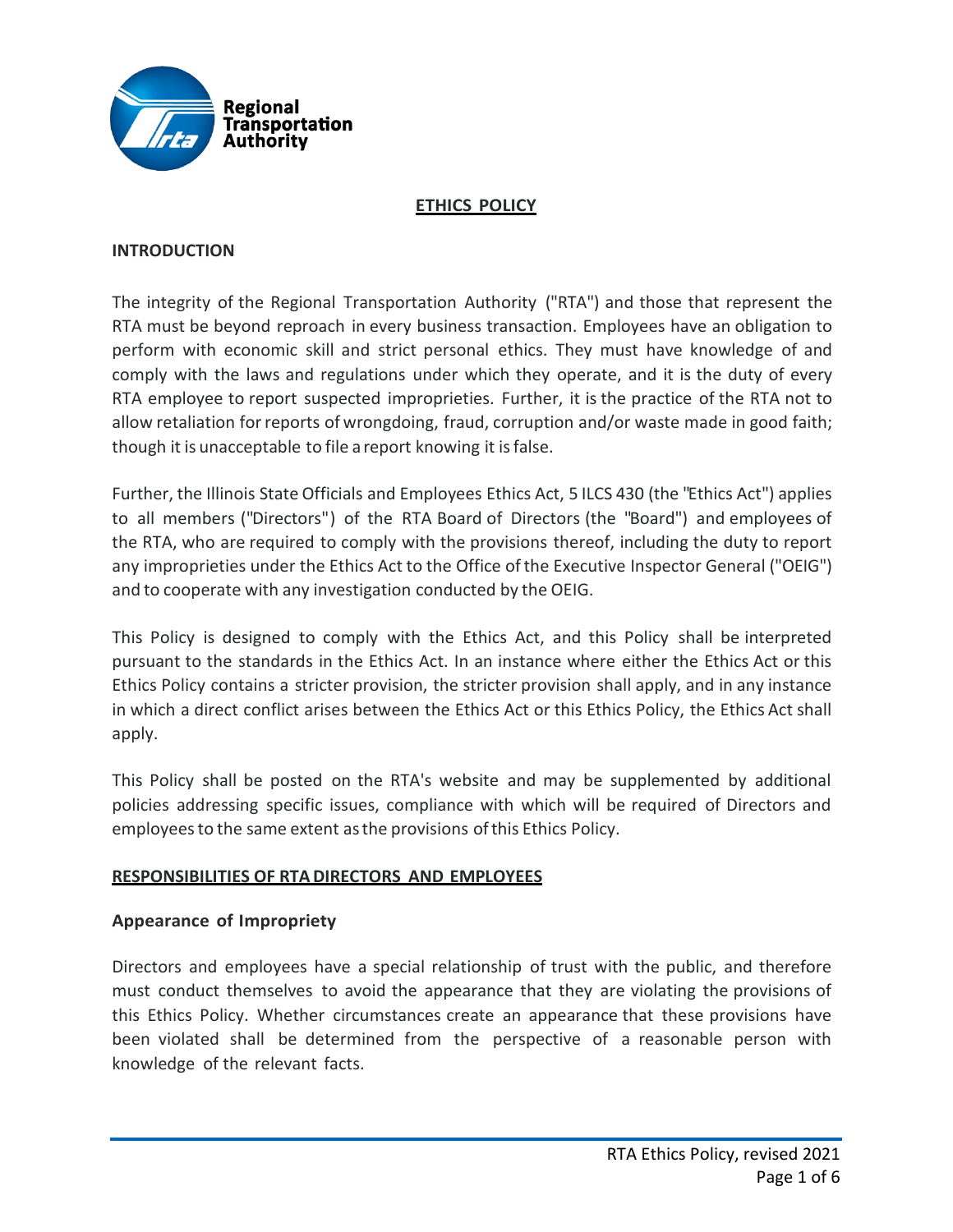

## **ETHICS POLICY**

### **INTRODUCTION**

The integrity of the Regional Transportation Authority ("RTA") and those that represent the RTA must be beyond reproach in every business transaction. Employees have an obligation to perform with economic skill and strict personal ethics. They must have knowledge of and comply with the laws and regulations under which they operate, and it is the duty of every RTA employee to report suspected improprieties. Further, it is the practice of the RTA not to allow retaliation forreports of wrongdoing, fraud, corruption and/or waste made in good faith; though it is unacceptable to file a report knowing it isfalse.

Further, the Illinois State Officials and Employees Ethics Act, 5 ILCS 430 (the "Ethics Act") applies to all members ("Directors") of the RTA Board of Directors (the "Board") and employees of the RTA, who are required to comply with the provisions thereof, including the duty to report any improprieties under the Ethics Act to the Office ofthe Executive Inspector General ("OEIG") and to cooperate with any investigation conducted by the OEIG.

This Policy is designed to comply with the Ethics Act, and this Policy shall be interpreted pursuant to the standards in the Ethics Act. In an instance where either the Ethics Act or this Ethics Policy contains a stricter provision, the stricter provision shall apply, and in any instance in which a direct conflict arises between the Ethics Act or this Ethics Policy, the Ethics Act shall apply.

This Policy shall be posted on the RTA's website and may be supplemented by additional policies addressing specific issues, compliance with which will be required of Directors and employeesto the same extent asthe provisions ofthis Ethics Policy.

#### **RESPONSIBILITIES OF RTADIRECTORS AND EMPLOYEES**

## **Appearance of Impropriety**

Directors and employees have a special relationship of trust with the public, and therefore must conduct themselves to avoid the appearance that they are violating the provisions of this Ethics Policy. Whether circumstances create an appearance that these provisions have been violated shall be determined from the perspective of a reasonable person with knowledge of the relevant facts.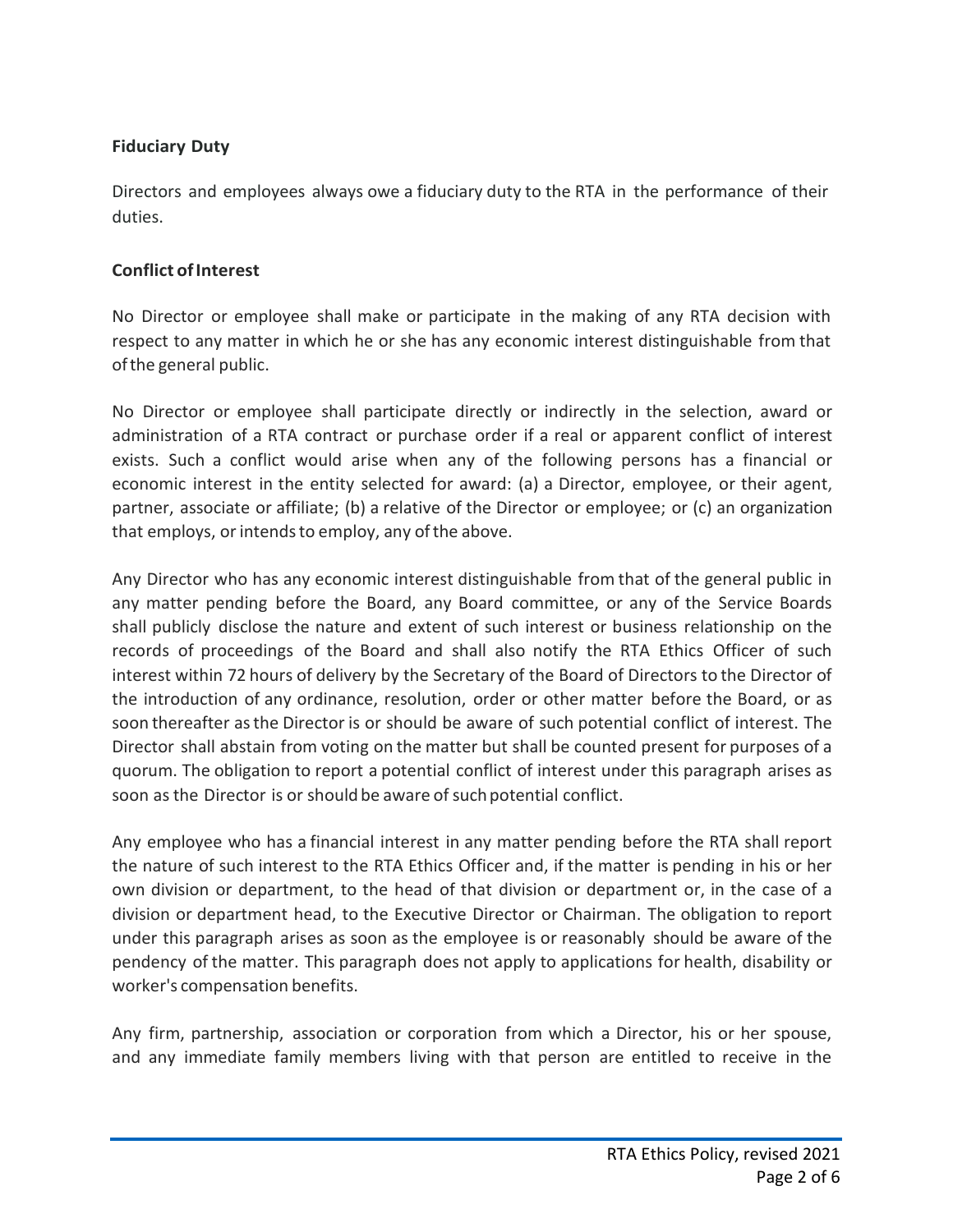# **Fiduciary Duty**

Directors and employees always owe a fiduciary duty to the RTA in the performance of their duties.

## **Conflict ofInterest**

No Director or employee shall make or participate in the making of any RTA decision with respect to any matter in which he or she has any economic interest distinguishable from that ofthe general public.

No Director or employee shall participate directly or indirectly in the selection, award or administration of a RTA contract or purchase order if a real or apparent conflict of interest exists. Such a conflict would arise when any of the following persons has a financial or economic interest in the entity selected for award: (a) a Director, employee, or their agent, partner, associate or affiliate; (b) a relative of the Director or employee; or (c) an organization that employs, or intends to employ, any of the above.

Any Director who has any economic interest distinguishable from that of the general public in any matter pending before the Board, any Board committee, or any of the Service Boards shall publicly disclose the nature and extent of such interest or business relationship on the records of proceedings of the Board and shall also notify the RTA Ethics Officer of such interest within 72 hours of delivery by the Secretary of the Board of Directors to the Director of the introduction of any ordinance, resolution, order or other matter before the Board, or as soon thereafter asthe Director is or should be aware of such potential conflict of interest. The Director shall abstain from voting on the matter but shall be counted present for purposes of a quorum. The obligation to report a potential conflict of interest under this paragraph arises as soon as the Director is or should be aware of such potential conflict.

Any employee who has a financial interest in any matter pending before the RTA shall report the nature of such interest to the RTA Ethics Officer and, if the matter is pending in his or her own division or department, to the head of that division or department or, in the case of a division or department head, to the Executive Director or Chairman. The obligation to report under this paragraph arises as soon as the employee is or reasonably should be aware of the pendency of the matter. This paragraph does not apply to applications for health, disability or worker's compensation benefits.

Any firm, partnership, association or corporation from which a Director, his or her spouse, and any immediate family members living with that person are entitled to receive in the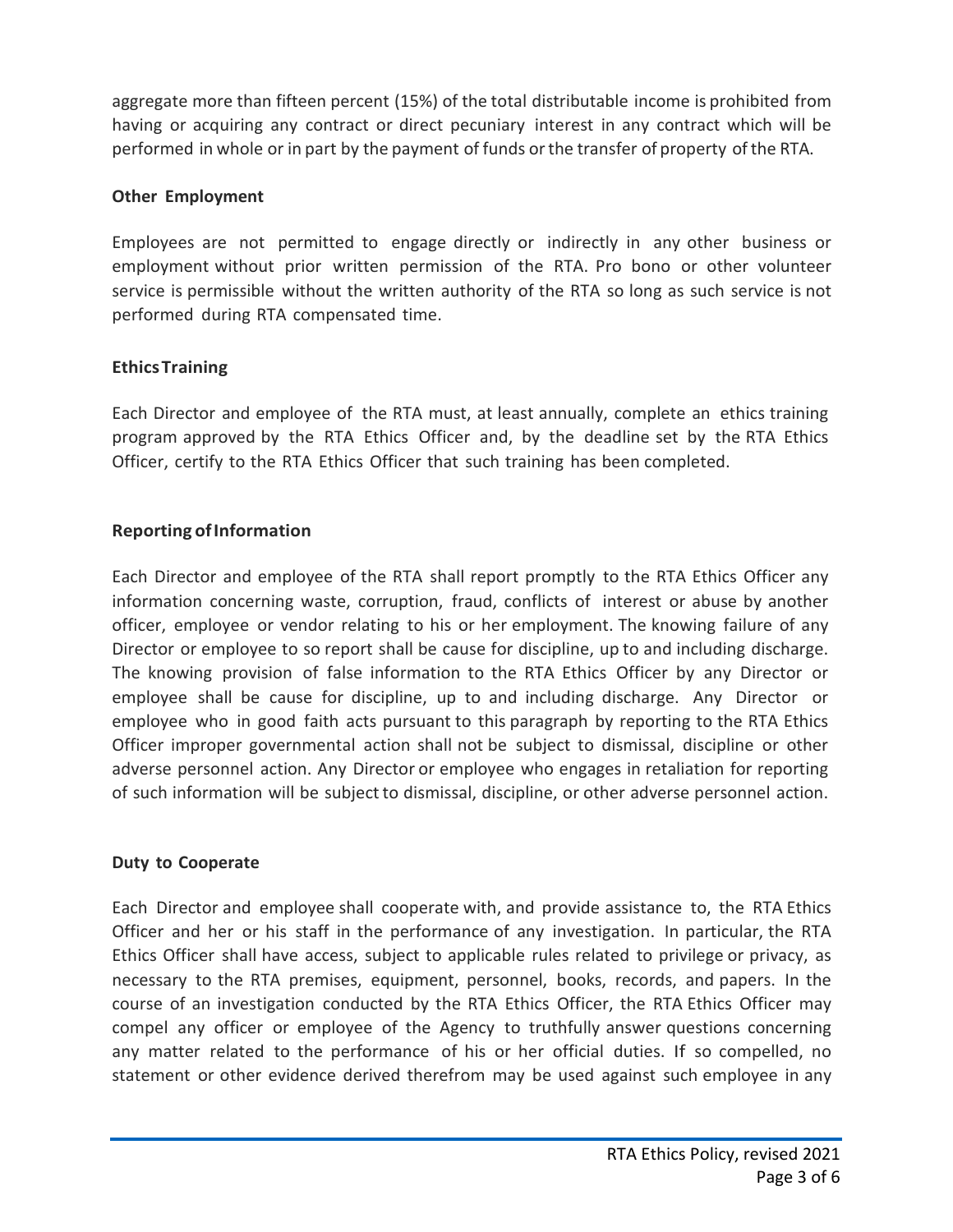aggregate more than fifteen percent (15%) of the total distributable income is prohibited from having or acquiring any contract or direct pecuniary interest in any contract which will be performed in whole or in part by the payment of funds orthe transfer of property ofthe RTA.

### **Other Employment**

Employees are not permitted to engage directly or indirectly in any other business or employment without prior written permission of the RTA. Pro bono or other volunteer service is permissible without the written authority of the RTA so long as such service is not performed during RTA compensated time.

## **EthicsTraining**

Each Director and employee of the RTA must, at least annually, complete an ethics training program approved by the RTA Ethics Officer and, by the deadline set by the RTA Ethics Officer, certify to the RTA Ethics Officer that such training has been completed.

### **Reporting of Information**

Each Director and employee of the RTA shall report promptly to the RTA Ethics Officer any information concerning waste, corruption, fraud, conflicts of interest or abuse by another officer, employee or vendor relating to his or her employment. The knowing failure of any Director or employee to so report shall be cause for discipline, up to and including discharge. The knowing provision of false information to the RTA Ethics Officer by any Director or employee shall be cause for discipline, up to and including discharge. Any Director or employee who in good faith acts pursuant to this paragraph by reporting to the RTA Ethics Officer improper governmental action shall not be subject to dismissal, discipline or other adverse personnel action. Any Director or employee who engages in retaliation for reporting of such information will be subject to dismissal, discipline, or other adverse personnel action.

#### **Duty to Cooperate**

Each Director and employee shall cooperate with, and provide assistance to, the RTA Ethics Officer and her or his staff in the performance of any investigation. In particular, the RTA Ethics Officer shall have access, subject to applicable rules related to privilege or privacy, as necessary to the RTA premises, equipment, personnel, books, records, and papers. In the course of an investigation conducted by the RTA Ethics Officer, the RTA Ethics Officer may compel any officer or employee of the Agency to truthfully answer questions concerning any matter related to the performance of his or her official duties. If so compelled, no statement or other evidence derived therefrom may be used against such employee in any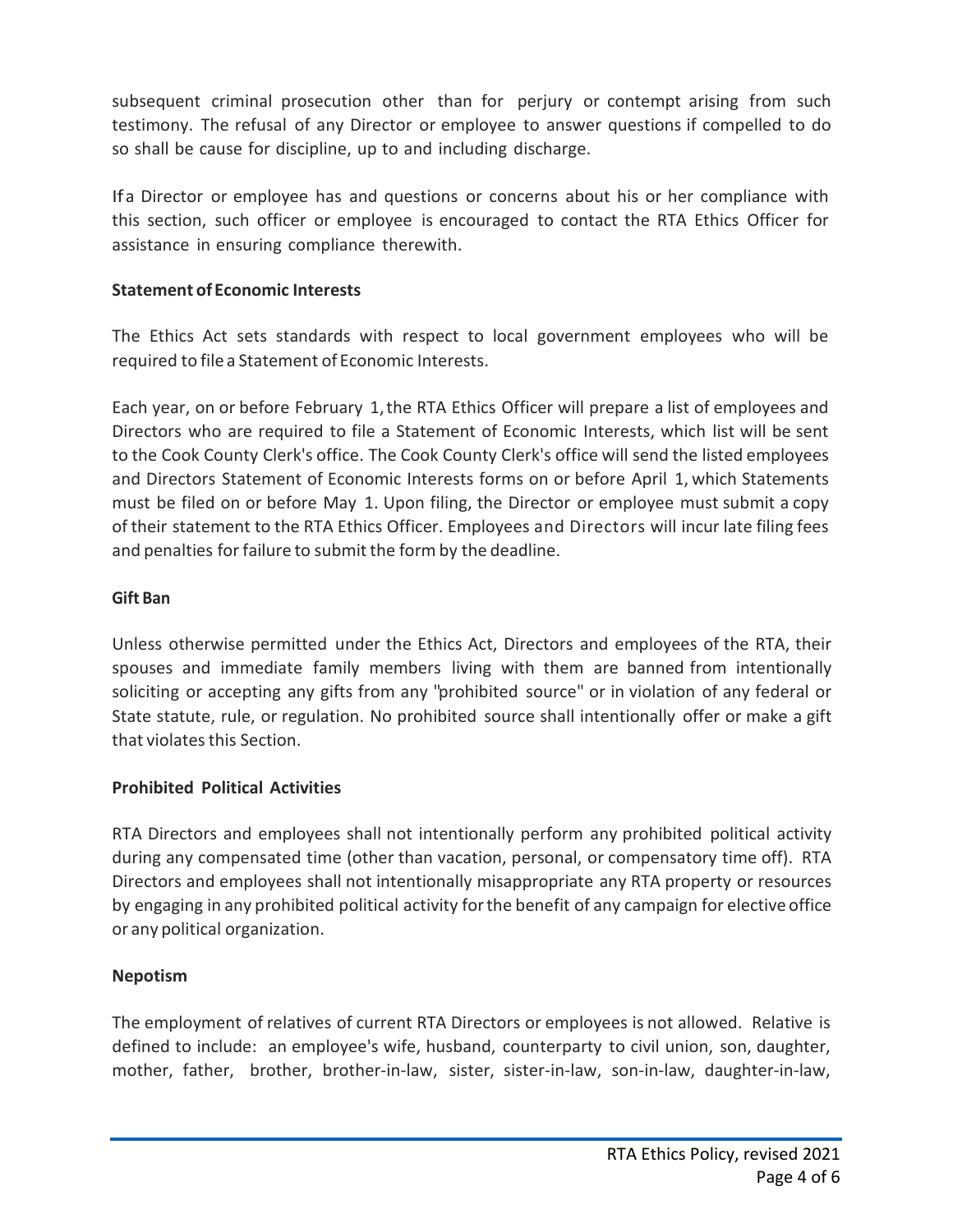subsequent criminal prosecution other than for perjury or contempt arising from such testimony. The refusal of any Director or employee to answer questions if compelled to do so shall be cause for discipline, up to and including discharge.

Ifa Director or employee has and questions or concerns about his or her compliance with this section, such officer or employee is encouraged to contact the RTA Ethics Officer for assistance in ensuring compliance therewith.

## **Statement of Economic Interests**

The Ethics Act sets standards with respect to local government employees who will be required to file a Statement of Economic Interests.

Each year, on or before February 1,the RTA Ethics Officer will prepare a list of employees and Directors who are required to file a Statement of Economic Interests, which list will be sent to the Cook County Clerk's office. The Cook County Clerk's office will send the listed employees and Directors Statement of Economic Interests forms on or before April 1, which Statements must be filed on or before May 1. Upon filing, the Director or employee must submit a copy of their statement to the RTA Ethics Officer. Employees and Directors will incur late filing fees and penalties for failure to submit the form by the deadline.

## **Gift Ban**

Unless otherwise permitted under the Ethics Act, Directors and employees of the RTA, their spouses and immediate family members living with them are banned from intentionally soliciting or accepting any gifts from any "prohibited source" or in violation of any federal or State statute, rule, or regulation. No prohibited source shall intentionally offer or make a gift that violatesthis Section.

# **Prohibited Political Activities**

RTA Directors and employees shall not intentionally perform any prohibited political activity during any compensated time (other than vacation, personal, or compensatory time off). RTA Directors and employees shall not intentionally misappropriate any RTA property or resources by engaging in any prohibited political activity forthe benefit of any campaign for elective office or any political organization.

# **Nepotism**

The employment of relatives of current RTA Directors or employees is not allowed. Relative is defined to include: an employee's wife, husband, counterparty to civil union, son, daughter, mother, father, brother, brother-in-law, sister, sister-in-law, son-in-law, daughter-in-law,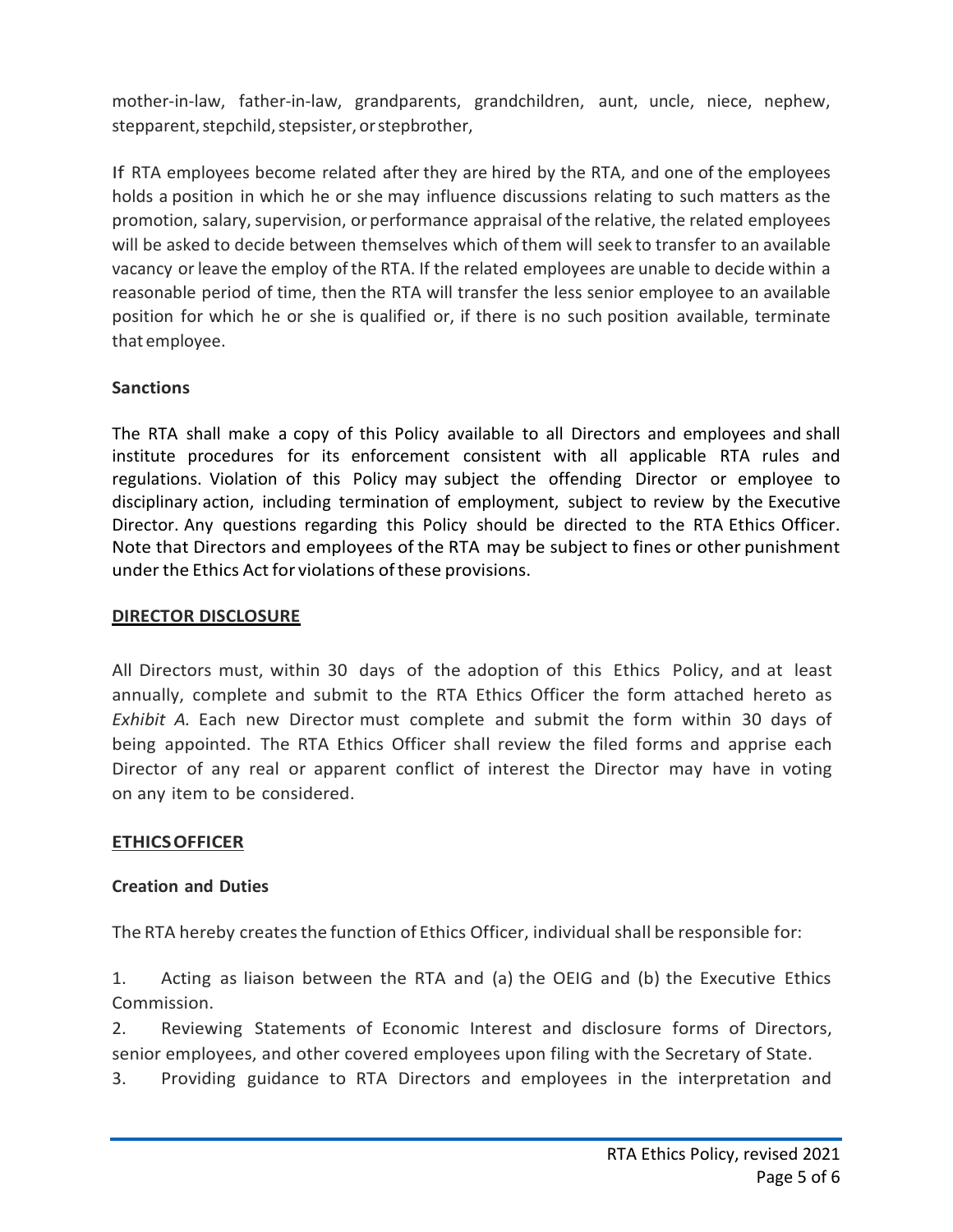mother-in-law, father-in-law, grandparents, grandchildren, aunt, uncle, niece, nephew, stepparent, stepchild, stepsister, or stepbrother,

If RTA employees become related after they are hired by the RTA, and one of the employees holds a position in which he or she may influence discussions relating to such matters as the promotion, salary, supervision, or performance appraisal of the relative, the related employees will be asked to decide between themselves which ofthem will seek to transfer to an available vacancy or leave the employ of the RTA. If the related employees are unable to decide within a reasonable period of time, then the RTA will transfer the less senior employee to an available position for which he or she is qualified or, if there is no such position available, terminate that employee.

## **Sanctions**

The RTA shall make a copy of this Policy available to all Directors and employees and shall institute procedures for its enforcement consistent with all applicable RTA rules and regulations. Violation of this Policy may subject the offending Director or employee to disciplinary action, including termination of employment, subject to review by the Executive Director. Any questions regarding this Policy should be directed to the RTA Ethics Officer. Note that Directors and employees of the RTA may be subject to fines or other punishment under the Ethics Act for violations ofthese provisions.

## **DIRECTOR DISCLOSURE**

All Directors must, within 30 days of the adoption of this Ethics Policy, and at least annually, complete and submit to the RTA Ethics Officer the form attached hereto as *Exhibit A.* Each new Director must complete and submit the form within 30 days of being appointed. The RTA Ethics Officer shall review the filed forms and apprise each Director of any real or apparent conflict of interest the Director may have in voting on any item to be considered.

## **ETHICSOFFICER**

## **Creation and Duties**

The RTA hereby creates the function of Ethics Officer, individual shall be responsible for:

1. Acting as liaison between the RTA and (a) the OEIG and (b) the Executive Ethics Commission.

2. Reviewing Statements of Economic Interest and disclosure forms of Directors, senior employees, and other covered employees upon filing with the Secretary of State.

3. Providing guidance to RTA Directors and employees in the interpretation and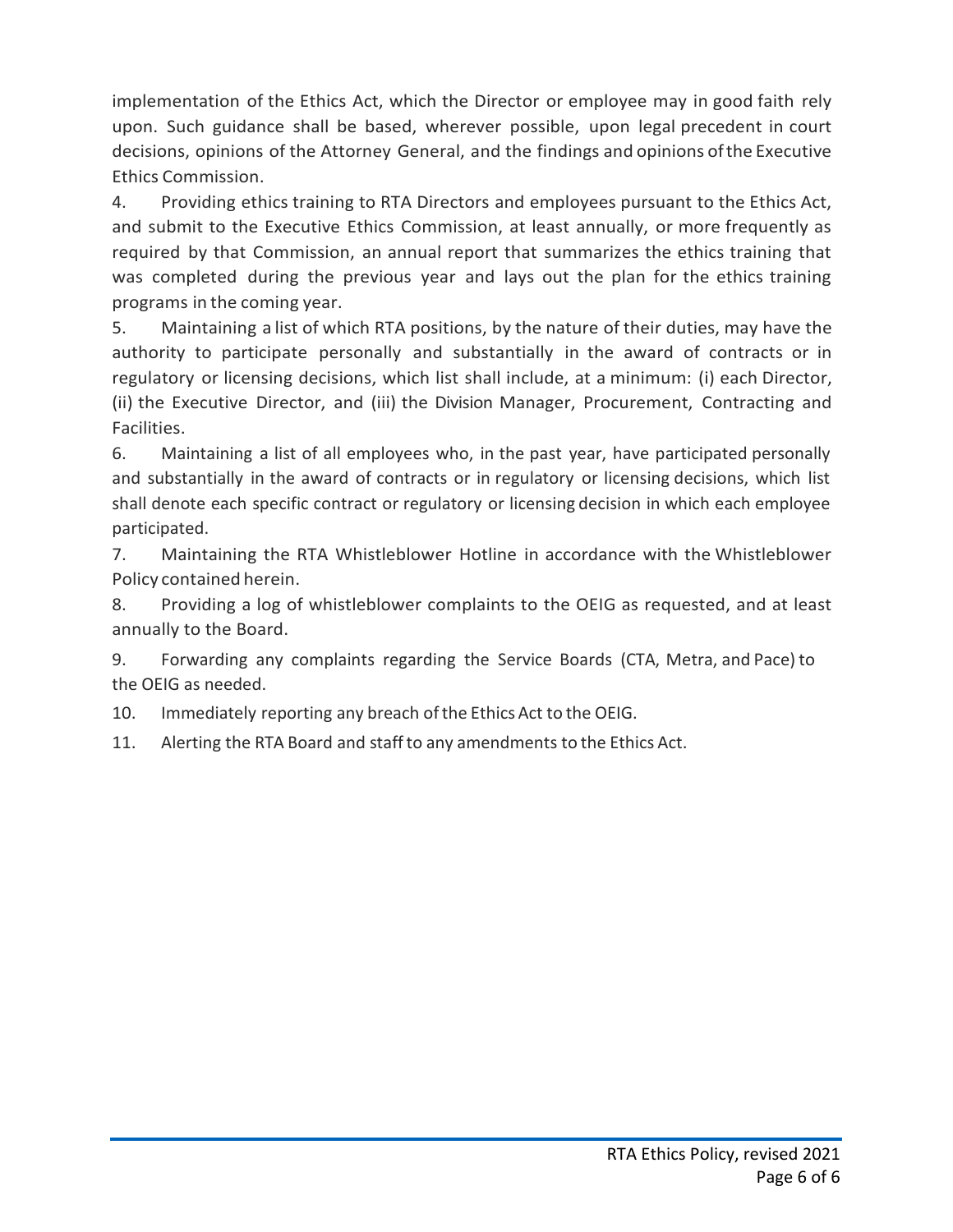implementation of the Ethics Act, which the Director or employee may in good faith rely upon. Such guidance shall be based, wherever possible, upon legal precedent in court decisions, opinions of the Attorney General, and the findings and opinions ofthe Executive Ethics Commission.

4. Providing ethics training to RTA Directors and employees pursuant to the Ethics Act, and submit to the Executive Ethics Commission, at least annually, or more frequently as required by that Commission, an annual report that summarizes the ethics training that was completed during the previous year and lays out the plan for the ethics training programs in the coming year.

5. Maintaining a list of which RTA positions, by the nature of their duties, may have the authority to participate personally and substantially in the award of contracts or in regulatory or licensing decisions, which list shall include, at a minimum: (i) each Director, (ii) the Executive Director, and (iii) the Division Manager, Procurement, Contracting and Facilities.

6. Maintaining a list of all employees who, in the past year, have participated personally and substantially in the award of contracts or in regulatory or licensing decisions, which list shall denote each specific contract or regulatory or licensing decision in which each employee participated.

7. Maintaining the RTA Whistleblower Hotline in accordance with the Whistleblower Policy contained herein.

8. Providing a log of whistleblower complaints to the OEIG as requested, and at least annually to the Board.

9. Forwarding any complaints regarding the Service Boards (CTA, Metra, and Pace) to the OEIG as needed.

10. Immediately reporting any breach ofthe Ethics Act to the OEIG.

11. Alerting the RTA Board and staffto any amendments to the Ethics Act.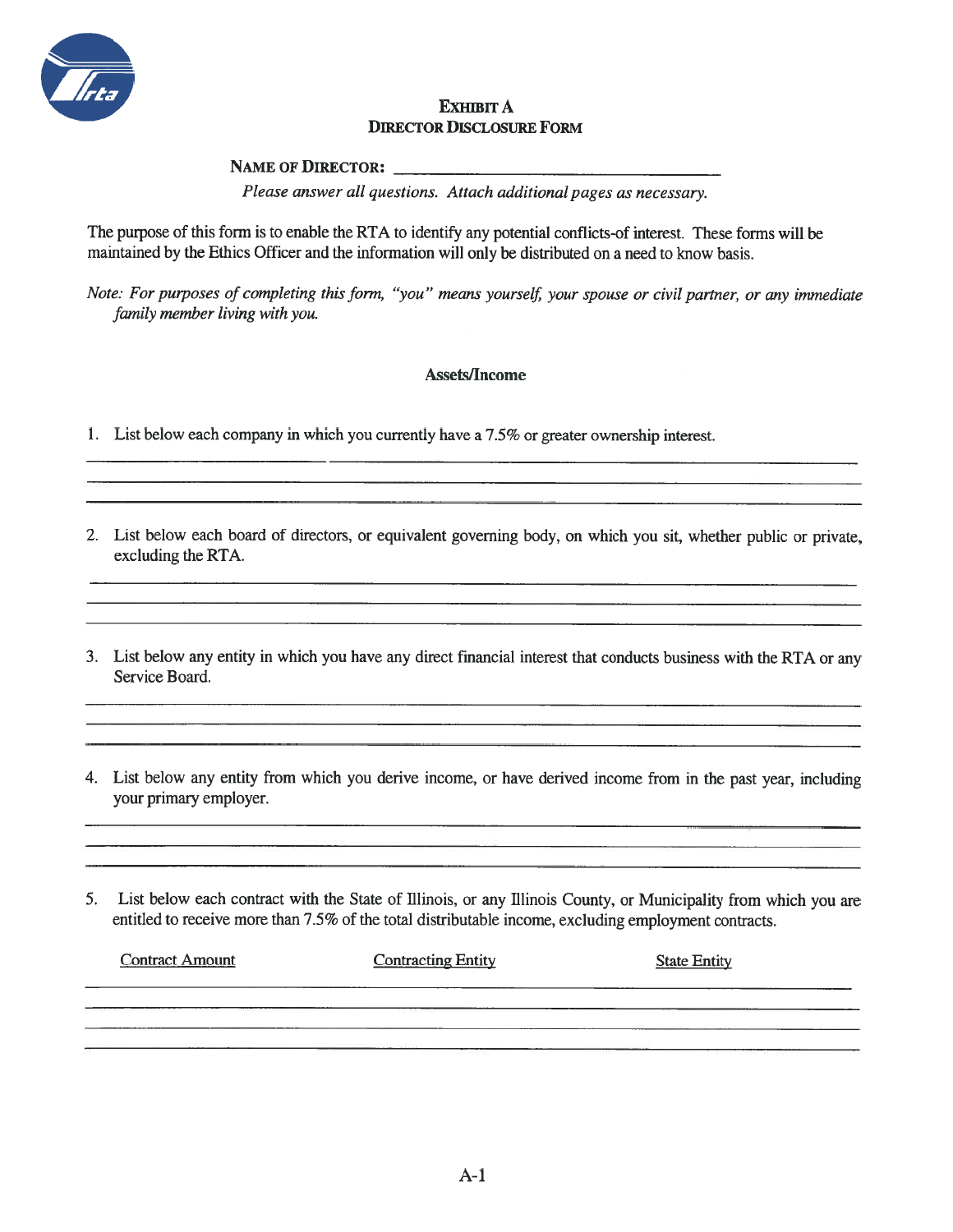

#### **EXHIBIT A DIRECTOR DISCLOSURE FORM**

**NAME OF DIRECTOR:** 

Please answer all questions. Attach additional pages as necessary.

The purpose of this form is to enable the RTA to identify any potential conflicts-of interest. These forms will be maintained by the Ethics Officer and the information will only be distributed on a need to know basis.

Note: For purposes of completing this form, "you" means yourself, your spouse or civil partner, or any immediate family member living with you.

#### **Assets/Income**

<u> 1980 - John Stein, Amerikaansk politiker (</u>

1. List below each company in which you currently have a 7.5% or greater ownership interest.

2. List below each board of directors, or equivalent governing body, on which you sit, whether public or private, excluding the RTA.

3. List below any entity in which you have any direct financial interest that conducts business with the RTA or any Service Board.

4. List below any entity from which you derive income, or have derived income from in the past year, including your primary employer.

List below each contract with the State of Illinois, or any Illinois County, or Municipality from which you are 5. entitled to receive more than 7.5% of the total distributable income, excluding employment contracts.

| <b>Contract Amount</b> | <b>Contracting Entity</b> | <b>State Entity</b> |  |
|------------------------|---------------------------|---------------------|--|
|                        | ------                    |                     |  |
|                        | state management          |                     |  |